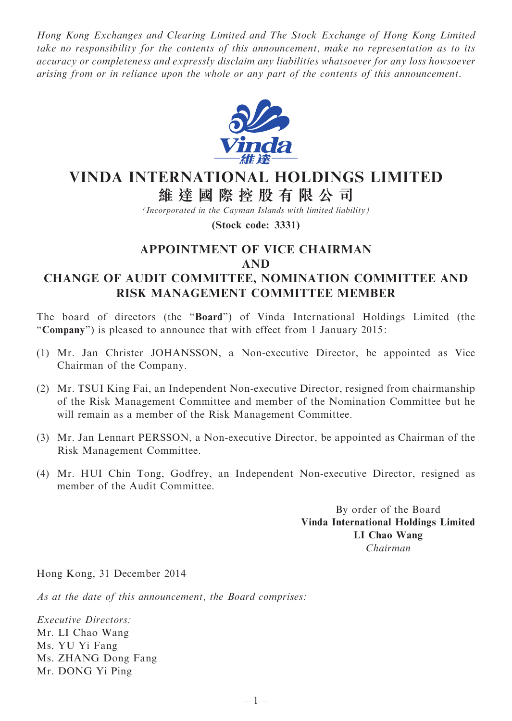Hong Kong Exchanges and Clearing Limited and The Stock Exchange of Hong Kong Limited take no responsibility for the contents of this announcement, make no representation as to its accuracy or completeness and expressly disclaim any liabilities whatsoever for any loss howsoever arising from or in reliance upon the whole or any part of the contents of this announcement.



## VINDA INTERNATIONAL HOLDINGS LIMITED 維 達 國 際 控 股 有 限 公 司

(Incorporated in the Cayman Islands with limited liability)

(Stock code: 3331)

## APPOINTMENT OF VICE CHAIRMAN AND

## CHANGE OF AUDIT COMMITTEE, NOMINATION COMMITTEE AND RISK MANAGEMENT COMMITTEE MEMBER

The board of directors (the ''Board'') of Vinda International Holdings Limited (the "Company") is pleased to announce that with effect from 1 January 2015:

- (1) Mr. Jan Christer JOHANSSON, a Non-executive Director, be appointed as Vice Chairman of the Company.
- (2) Mr. TSUI King Fai, an Independent Non-executive Director, resigned from chairmanship of the Risk Management Committee and member of the Nomination Committee but he will remain as a member of the Risk Management Committee.
- (3) Mr. Jan Lennart PERSSON, a Non-executive Director, be appointed as Chairman of the Risk Management Committee.
- (4) Mr. HUI Chin Tong, Godfrey, an Independent Non-executive Director, resigned as member of the Audit Committee.

By order of the Board Vinda International Holdings Limited LI Chao Wang Chairman

Hong Kong, 31 December 2014

As at the date of this announcement, the Board comprises:

Executive Directors: Mr. LI Chao Wang Ms. YU Yi Fang Ms. ZHANG Dong Fang Mr. DONG Yi Ping